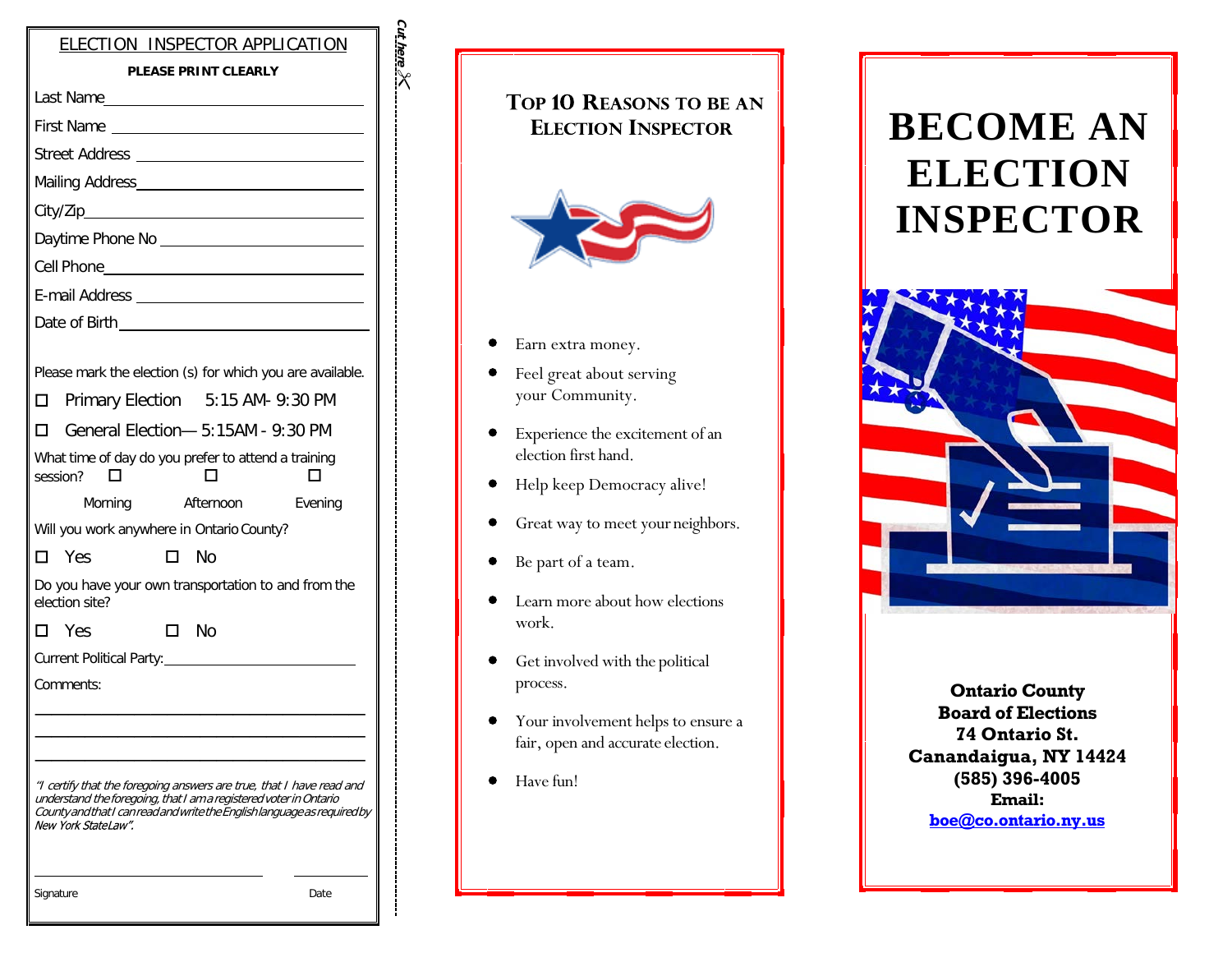| ELECTION INSPECTOR APPLICATION                                                                                                                                                                                                               |  |
|----------------------------------------------------------------------------------------------------------------------------------------------------------------------------------------------------------------------------------------------|--|
| <b>PLEASE PRINT CLEARLY</b>                                                                                                                                                                                                                  |  |
|                                                                                                                                                                                                                                              |  |
| First Name                                                                                                                                                                                                                                   |  |
|                                                                                                                                                                                                                                              |  |
|                                                                                                                                                                                                                                              |  |
|                                                                                                                                                                                                                                              |  |
|                                                                                                                                                                                                                                              |  |
|                                                                                                                                                                                                                                              |  |
|                                                                                                                                                                                                                                              |  |
|                                                                                                                                                                                                                                              |  |
|                                                                                                                                                                                                                                              |  |
| Please mark the election (s) for which you are available.                                                                                                                                                                                    |  |
| Primary Election 5:15 AM- 9:30 PM                                                                                                                                                                                                            |  |
| General Election- 5:15AM - 9:30 PM<br>П                                                                                                                                                                                                      |  |
| What time of day do you prefer to attend a training<br>session?                                                                                                                                                                              |  |
| Morning Afternoon<br>Evening                                                                                                                                                                                                                 |  |
| Will you work anywhere in Ontario County?                                                                                                                                                                                                    |  |
| $\square$ Yes<br>□ No                                                                                                                                                                                                                        |  |
| Do you have your own transportation to and from the<br>election site?                                                                                                                                                                        |  |
| □ No<br>□ Yes                                                                                                                                                                                                                                |  |
| Current Political Party:                                                                                                                                                                                                                     |  |
| Comments:                                                                                                                                                                                                                                    |  |
|                                                                                                                                                                                                                                              |  |
|                                                                                                                                                                                                                                              |  |
| "I certify that the foregoing answers are true, that I have read and<br>understand the foregoing, that I am a registered voter in Ontario<br>County and that I can read and write the English language as required by<br>New York StateLaw". |  |
| Signature<br>Date                                                                                                                                                                                                                            |  |

| <b>TOP 10 REASONS TO BE AN</b><br><b>ELECTION INSPECTOR</b> | <b>BECOME AN</b><br><b>ELECTION</b><br><b>INSPECTOR</b> |
|-------------------------------------------------------------|---------------------------------------------------------|
| Earn extra money.                                           |                                                         |
| Feel great about serving<br>your Community.                 |                                                         |
| Experience the excitement of an<br>election first hand.     |                                                         |
| Help keep Democracy alive!                                  |                                                         |
| Great way to meet your neighbors.                           |                                                         |
| Be part of a team.                                          |                                                         |
| Learn more about how elections<br>work.                     |                                                         |
|                                                             |                                                         |

- Get involved with the political process.
- Your involvement helps to ensure a  $\bullet$ fair, open and accurate election.
- Have fun!  $\bullet$

 $\bullet$ 

 $\bullet$ 

 $\bullet$ 

Cut here  $\chi$ 

> **Ontario County Board of Elections 74 Ontario St. Canandaigua, NY 14424 (585) 396-4005 Email:**

**[boe@co.ontario.n](mailto:boe@co.ontario.)y.us**